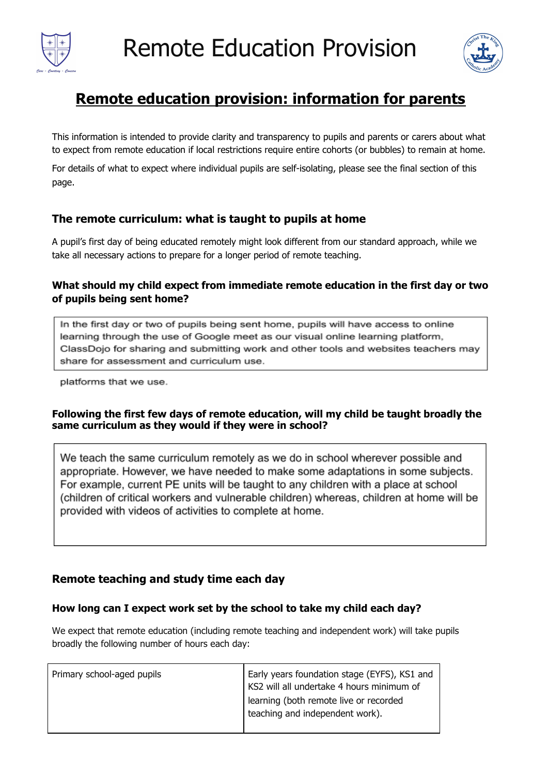



# **Remote education provision: information for parents**

This information is intended to provide clarity and transparency to pupils and parents or carers about what to expect from remote education if local restrictions require entire cohorts (or bubbles) to remain at home.

For details of what to expect where individual pupils are self-isolating, please see the final section of this page.

# **The remote curriculum: what is taught to pupils at home**

A pupil's first day of being educated remotely might look different from our standard approach, while we take all necessary actions to prepare for a longer period of remote teaching.

#### **What should my child expect from immediate remote education in the first day or two of pupils being sent home?**

In the first day or two of pupils being sent home, pupils will have access to online learning through the use of Google meet as our visual online learning platform, ClassDojo for sharing and submitting work and other tools and websites teachers may share for assessment and curriculum use.

platforms that we use.

#### **Following the first few days of remote education, will my child be taught broadly the same curriculum as they would if they were in school?**

We teach the same curriculum remotely as we do in school wherever possible and appropriate. However, we have needed to make some adaptations in some subjects. For example, current PE units will be taught to any children with a place at school (children of critical workers and vulnerable children) whereas, children at home will be provided with videos of activities to complete at home.

# **Remote teaching and study time each day**

### **How long can I expect work set by the school to take my child each day?**

We expect that remote education (including remote teaching and independent work) will take pupils broadly the following number of hours each day:

| Primary school-aged pupils | Early years foundation stage (EYFS), KS1 and<br>KS2 will all undertake 4 hours minimum of |
|----------------------------|-------------------------------------------------------------------------------------------|
|                            | learning (both remote live or recorded                                                    |
|                            | teaching and independent work).                                                           |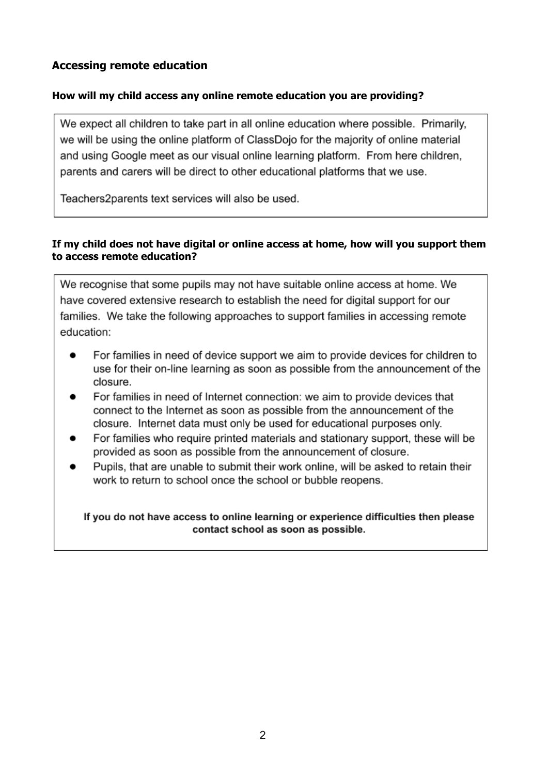## **Accessing remote education**

#### **How will my child access any online remote education you are providing?**

We expect all children to take part in all online education where possible. Primarily, we will be using the online platform of ClassDojo for the majority of online material and using Google meet as our visual online learning platform. From here children, parents and carers will be direct to other educational platforms that we use.

Teachers2parents text services will also be used.

#### **If my child does not have digital or online access at home, how will you support them to access remote education?**

We recognise that some pupils may not have suitable online access at home. We have covered extensive research to establish the need for digital support for our families. We take the following approaches to support families in accessing remote education:

- For families in need of device support we aim to provide devices for children to use for their on-line learning as soon as possible from the announcement of the closure.
- For families in need of Internet connection: we aim to provide devices that connect to the Internet as soon as possible from the announcement of the closure. Internet data must only be used for educational purposes only.
- For families who require printed materials and stationary support, these will be provided as soon as possible from the announcement of closure.
- Pupils, that are unable to submit their work online, will be asked to retain their work to return to school once the school or bubble reopens.

If you do not have access to online learning or experience difficulties then please contact school as soon as possible.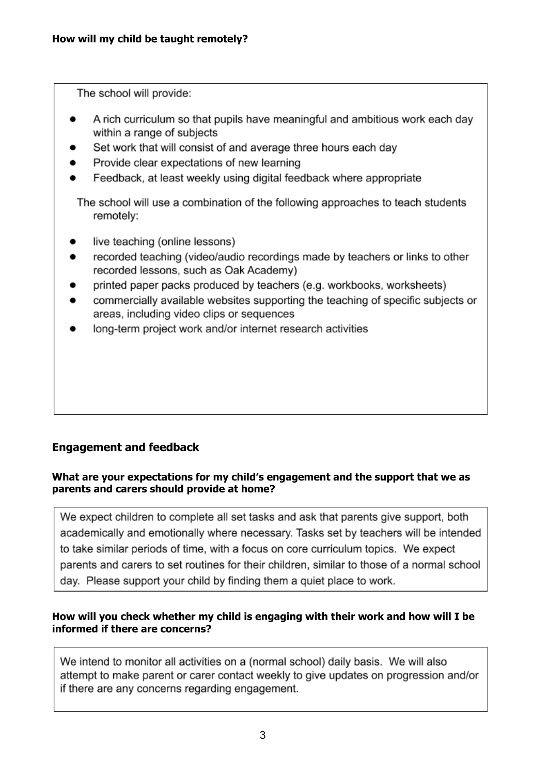The school will provide:

- A rich curriculum so that pupils have meaningful and ambitious work each day within a range of subjects
- Set work that will consist of and average three hours each day
- Provide clear expectations of new learning
- Feedback, at least weekly using digital feedback where appropriate

The school will use a combination of the following approaches to teach students remotely:

- live teaching (online lessons)  $\bullet$
- recorded teaching (video/audio recordings made by teachers or links to other  $\bullet$ recorded lessons, such as Oak Academy)
- printed paper packs produced by teachers (e.g. workbooks, worksheets)
- commercially available websites supporting the teaching of specific subjects or areas, including video clips or sequences
- long-term project work and/or internet research activities

# **Engagement and feedback**

#### **What are your expectations for my child's engagement and the support that we as parents and carers should provide at home?**

We expect children to complete all set tasks and ask that parents give support, both academically and emotionally where necessary. Tasks set by teachers will be intended to take similar periods of time, with a focus on core curriculum topics. We expect parents and carers to set routines for their children, similar to those of a normal school day. Please support your child by finding them a quiet place to work.

#### **How will you check whether my child is engaging with their work and how will I be informed if there are concerns?**

We intend to monitor all activities on a (normal school) daily basis. We will also attempt to make parent or carer contact weekly to give updates on progression and/or if there are any concerns regarding engagement.